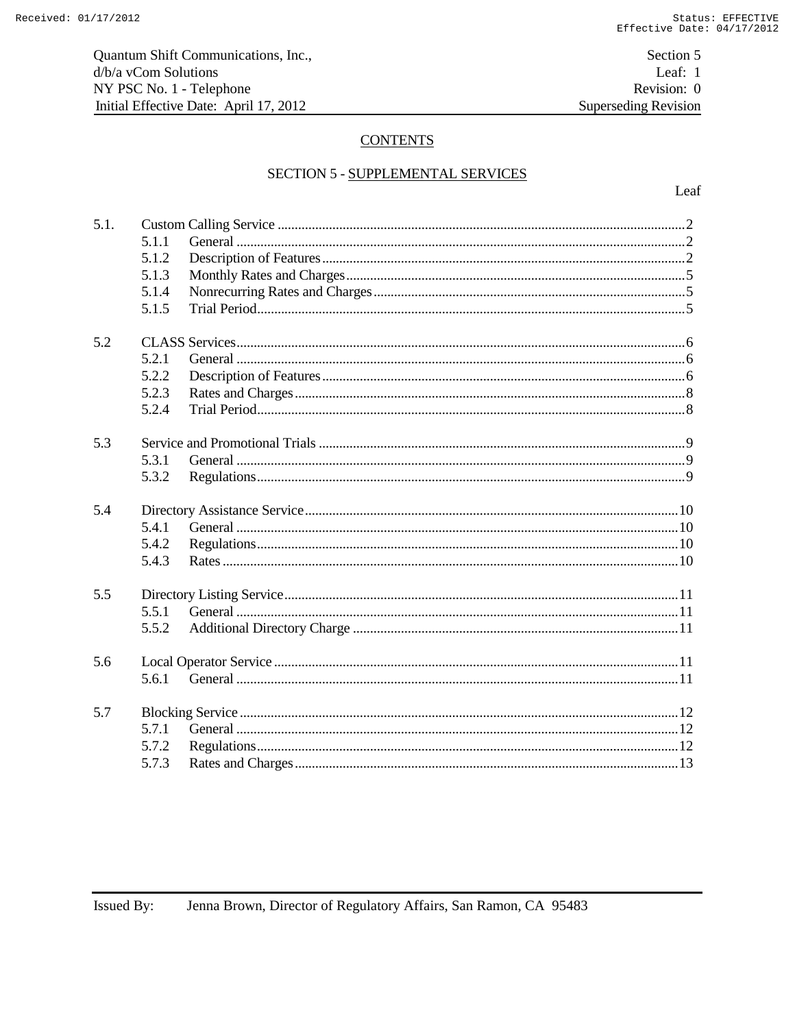Section 5 Leaf: 1 Revision: 0 **Superseding Revision** 

# **CONTENTS**

## SECTION 5 - SUPPLEMENTAL SERVICES

| 5.1. | 5.1.1<br>5.1.2<br>5.1.3<br>5.1.4<br>5.1.5 |  |
|------|-------------------------------------------|--|
| 5.2  | 5.2.1<br>5.2.2<br>5.2.3<br>5.2.4          |  |
| 5.3  | 5.3.1<br>5.3.2                            |  |
| 5.4  | 5.4.1<br>5.4.2<br>5.4.3                   |  |
| 5.5  | 5.5.1<br>5.5.2                            |  |
| 5.6  | 5.6.1                                     |  |
| 5.7  | 5.7.1<br>5.7.2<br>5.7.3                   |  |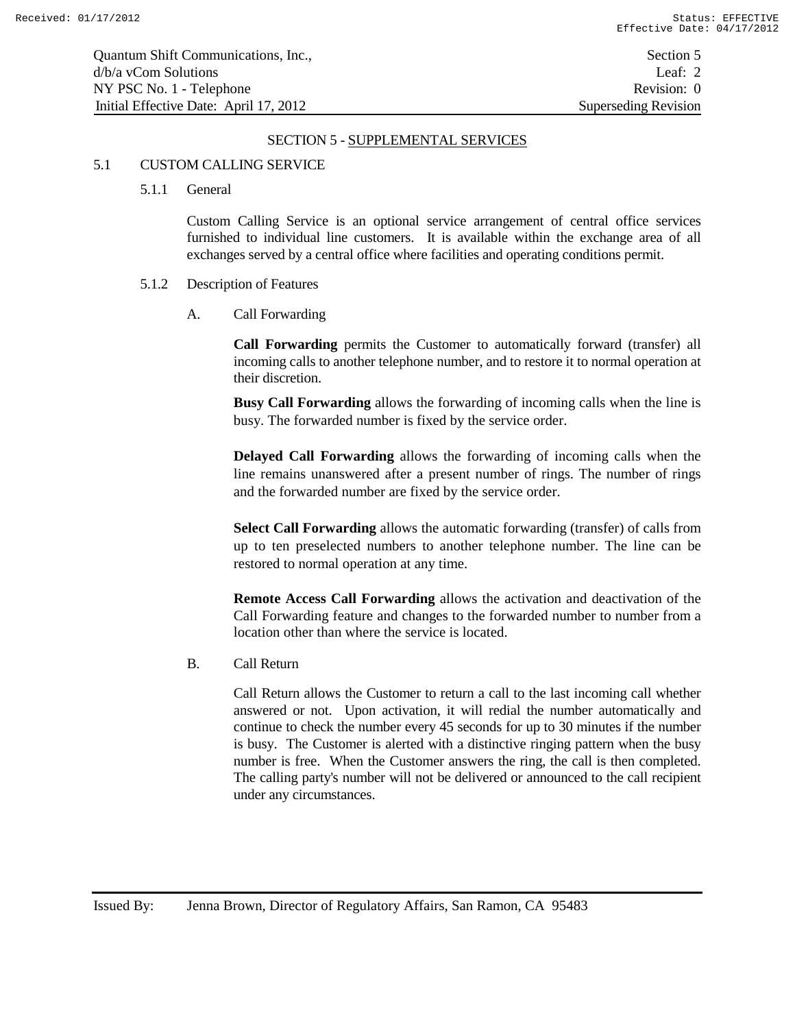#### SECTION 5 - SUPPLEMENTAL SERVICES

## 5.1 CUSTOM CALLING SERVICE

5.1.1 General

Custom Calling Service is an optional service arrangement of central office services furnished to individual line customers. It is available within the exchange area of all exchanges served by a central office where facilities and operating conditions permit.

#### 5.1.2 Description of Features

A. Call Forwarding

**Call Forwarding** permits the Customer to automatically forward (transfer) all incoming calls to another telephone number, and to restore it to normal operation at their discretion.

**Busy Call Forwarding** allows the forwarding of incoming calls when the line is busy. The forwarded number is fixed by the service order.

**Delayed Call Forwarding** allows the forwarding of incoming calls when the line remains unanswered after a present number of rings. The number of rings and the forwarded number are fixed by the service order.

**Select Call Forwarding** allows the automatic forwarding (transfer) of calls from up to ten preselected numbers to another telephone number. The line can be restored to normal operation at any time.

**Remote Access Call Forwarding** allows the activation and deactivation of the Call Forwarding feature and changes to the forwarded number to number from a location other than where the service is located.

B. Call Return

Call Return allows the Customer to return a call to the last incoming call whether answered or not. Upon activation, it will redial the number automatically and continue to check the number every 45 seconds for up to 30 minutes if the number is busy. The Customer is alerted with a distinctive ringing pattern when the busy number is free. When the Customer answers the ring, the call is then completed. The calling party's number will not be delivered or announced to the call recipient under any circumstances.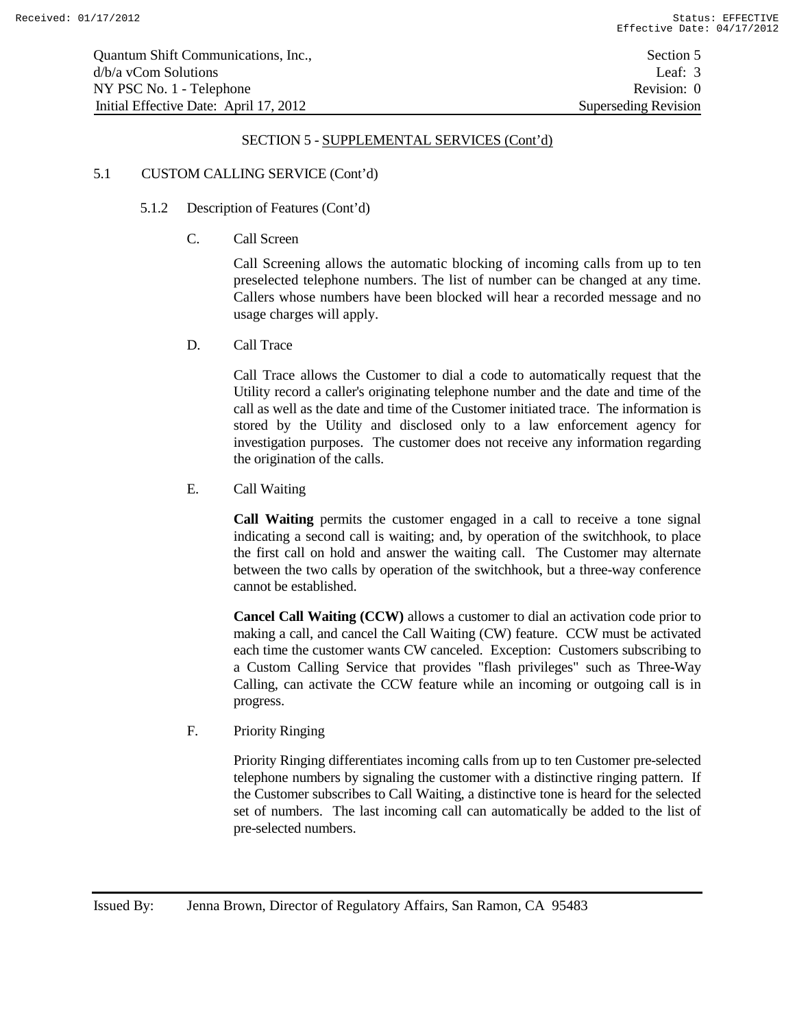## 5.1 CUSTOM CALLING SERVICE (Cont'd)

## 5.1.2 Description of Features (Cont'd)

C. Call Screen

Call Screening allows the automatic blocking of incoming calls from up to ten preselected telephone numbers. The list of number can be changed at any time. Callers whose numbers have been blocked will hear a recorded message and no usage charges will apply.

D. Call Trace

Call Trace allows the Customer to dial a code to automatically request that the Utility record a caller's originating telephone number and the date and time of the call as well as the date and time of the Customer initiated trace. The information is stored by the Utility and disclosed only to a law enforcement agency for investigation purposes. The customer does not receive any information regarding the origination of the calls.

E. Call Waiting

**Call Waiting** permits the customer engaged in a call to receive a tone signal indicating a second call is waiting; and, by operation of the switchhook, to place the first call on hold and answer the waiting call. The Customer may alternate between the two calls by operation of the switchhook, but a three-way conference cannot be established.

**Cancel Call Waiting (CCW)** allows a customer to dial an activation code prior to making a call, and cancel the Call Waiting (CW) feature. CCW must be activated each time the customer wants CW canceled. Exception: Customers subscribing to a Custom Calling Service that provides "flash privileges" such as Three-Way Calling, can activate the CCW feature while an incoming or outgoing call is in progress.

F. Priority Ringing

Priority Ringing differentiates incoming calls from up to ten Customer pre-selected telephone numbers by signaling the customer with a distinctive ringing pattern. If the Customer subscribes to Call Waiting, a distinctive tone is heard for the selected set of numbers. The last incoming call can automatically be added to the list of pre-selected numbers.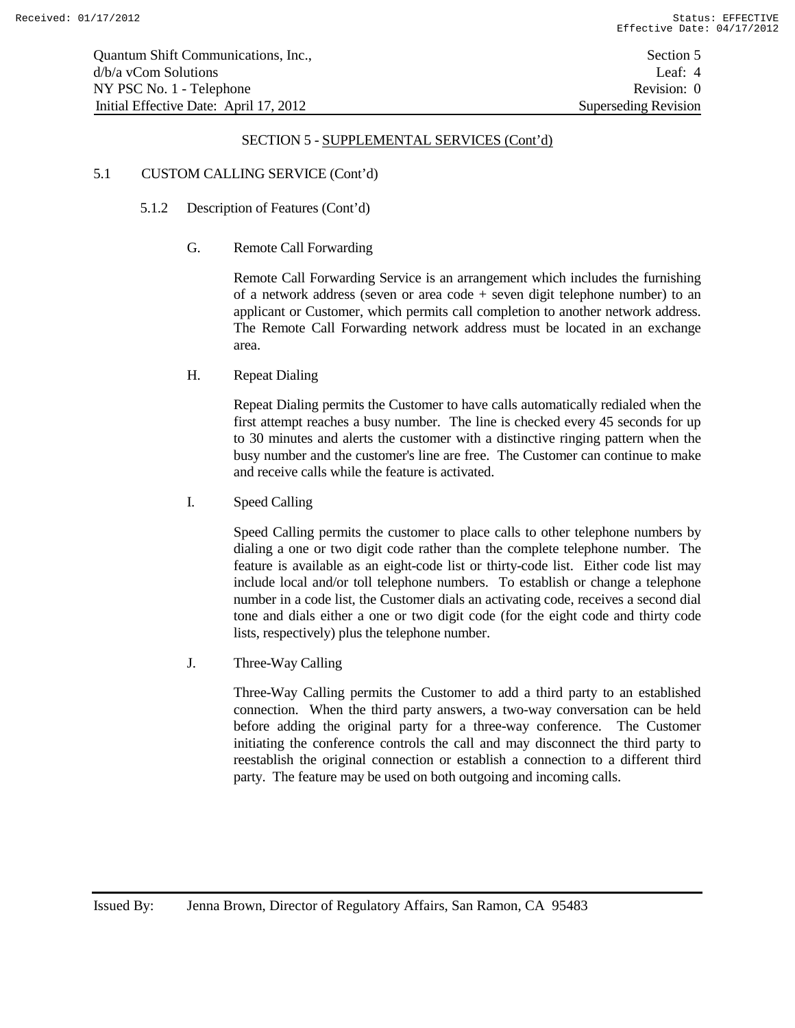## 5.1 CUSTOM CALLING SERVICE (Cont'd)

- 5.1.2 Description of Features (Cont'd)
	- G. Remote Call Forwarding

Remote Call Forwarding Service is an arrangement which includes the furnishing of a network address (seven or area code + seven digit telephone number) to an applicant or Customer, which permits call completion to another network address. The Remote Call Forwarding network address must be located in an exchange area.

H. Repeat Dialing

Repeat Dialing permits the Customer to have calls automatically redialed when the first attempt reaches a busy number. The line is checked every 45 seconds for up to 30 minutes and alerts the customer with a distinctive ringing pattern when the busy number and the customer's line are free. The Customer can continue to make and receive calls while the feature is activated.

I. Speed Calling

Speed Calling permits the customer to place calls to other telephone numbers by dialing a one or two digit code rather than the complete telephone number. The feature is available as an eight-code list or thirty-code list. Either code list may include local and/or toll telephone numbers. To establish or change a telephone number in a code list, the Customer dials an activating code, receives a second dial tone and dials either a one or two digit code (for the eight code and thirty code lists, respectively) plus the telephone number.

J. Three-Way Calling

Three-Way Calling permits the Customer to add a third party to an established connection. When the third party answers, a two-way conversation can be held before adding the original party for a three-way conference. The Customer initiating the conference controls the call and may disconnect the third party to reestablish the original connection or establish a connection to a different third party. The feature may be used on both outgoing and incoming calls.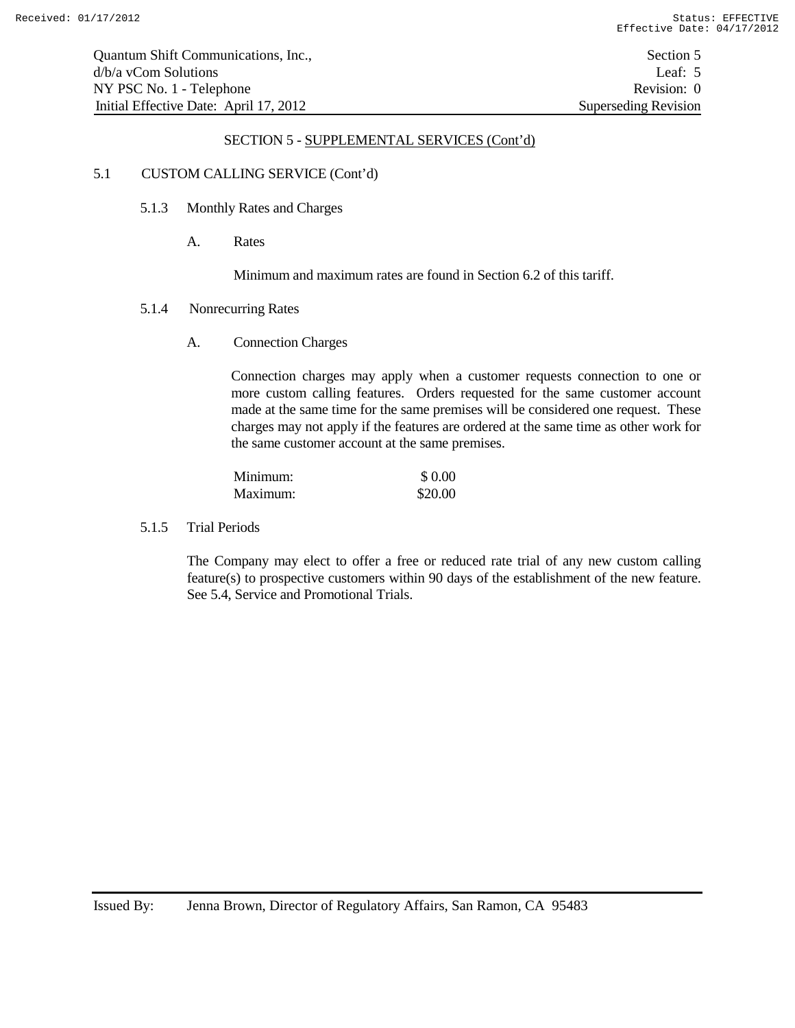#### 5.1 CUSTOM CALLING SERVICE (Cont'd)

- 5.1.3 Monthly Rates and Charges
	- A. Rates

Minimum and maximum rates are found in Section 6.2 of this tariff.

- 5.1.4 Nonrecurring Rates
	- A. Connection Charges

Connection charges may apply when a customer requests connection to one or more custom calling features. Orders requested for the same customer account made at the same time for the same premises will be considered one request. These charges may not apply if the features are ordered at the same time as other work for the same customer account at the same premises.

| Minimum: | \$ 0.00 |
|----------|---------|
| Maximum: | \$20.00 |

5.1.5 Trial Periods

The Company may elect to offer a free or reduced rate trial of any new custom calling feature(s) to prospective customers within 90 days of the establishment of the new feature. See 5.4, Service and Promotional Trials.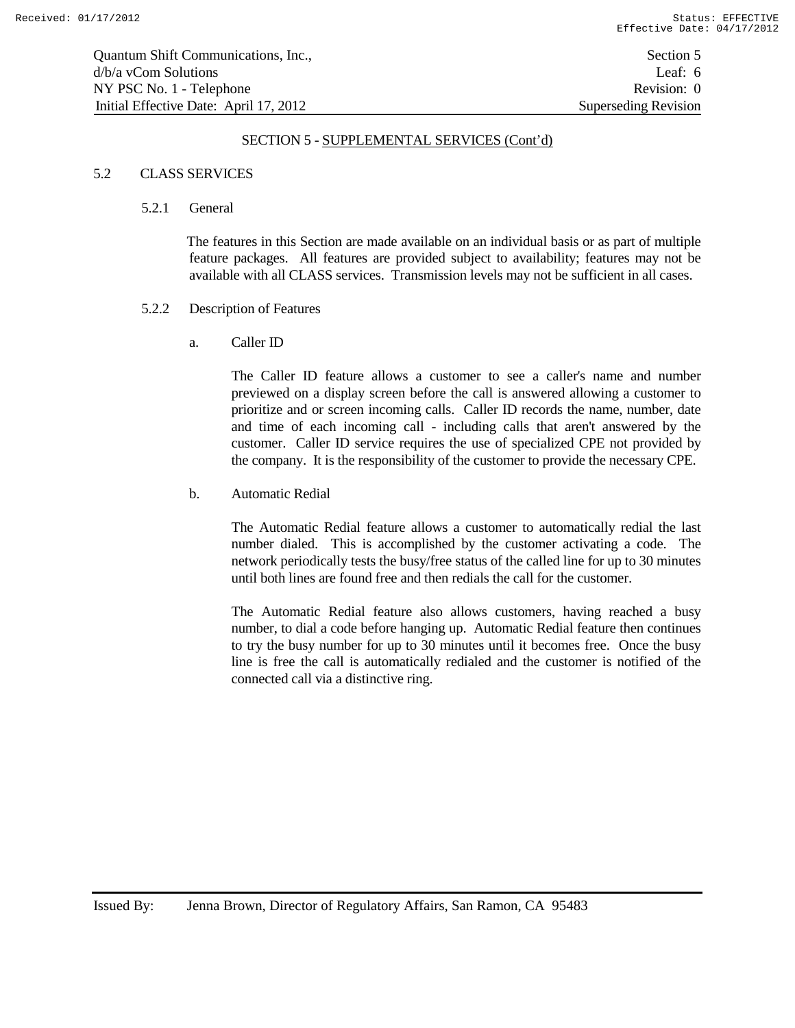## 5.2 CLASS SERVICES

#### 5.2.1 General

The features in this Section are made available on an individual basis or as part of multiple feature packages. All features are provided subject to availability; features may not be available with all CLASS services. Transmission levels may not be sufficient in all cases.

## 5.2.2 Description of Features

a. Caller ID

The Caller ID feature allows a customer to see a caller's name and number previewed on a display screen before the call is answered allowing a customer to prioritize and or screen incoming calls. Caller ID records the name, number, date and time of each incoming call - including calls that aren't answered by the customer. Caller ID service requires the use of specialized CPE not provided by the company. It is the responsibility of the customer to provide the necessary CPE.

## b. Automatic Redial

The Automatic Redial feature allows a customer to automatically redial the last number dialed. This is accomplished by the customer activating a code. The network periodically tests the busy/free status of the called line for up to 30 minutes until both lines are found free and then redials the call for the customer.

The Automatic Redial feature also allows customers, having reached a busy number, to dial a code before hanging up. Automatic Redial feature then continues to try the busy number for up to 30 minutes until it becomes free. Once the busy line is free the call is automatically redialed and the customer is notified of the connected call via a distinctive ring.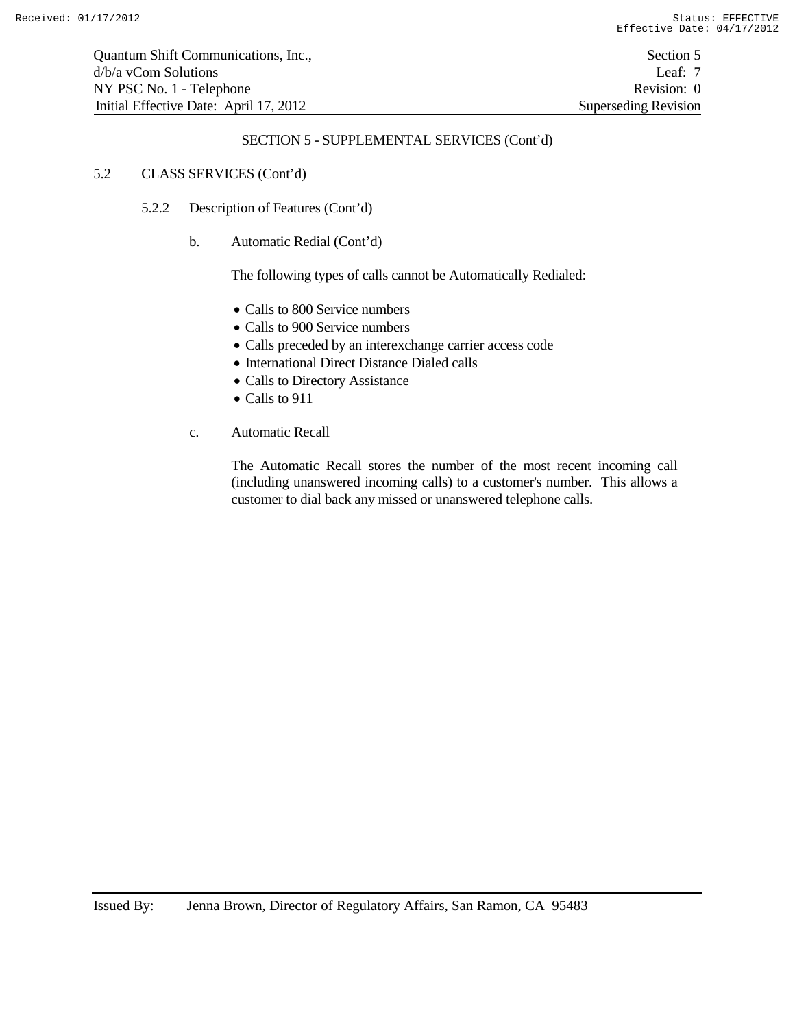## 5.2 CLASS SERVICES (Cont'd)

- 5.2.2 Description of Features (Cont'd)
	- b. Automatic Redial (Cont'd)

The following types of calls cannot be Automatically Redialed:

- Calls to 800 Service numbers
- Calls to 900 Service numbers
- Calls preceded by an interexchange carrier access code
- International Direct Distance Dialed calls
- Calls to Directory Assistance
- Calls to 911
- c. Automatic Recall

The Automatic Recall stores the number of the most recent incoming call (including unanswered incoming calls) to a customer's number. This allows a customer to dial back any missed or unanswered telephone calls.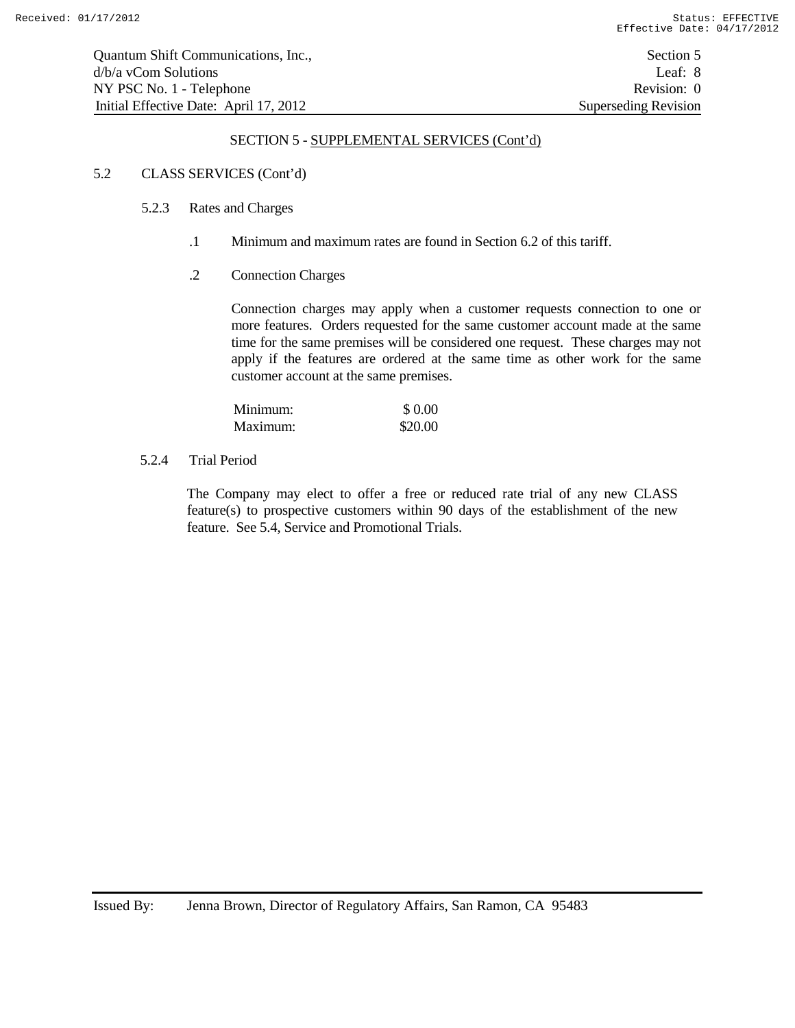## 5.2 CLASS SERVICES (Cont'd)

- 5.2.3 Rates and Charges
	- .1 Minimum and maximum rates are found in Section 6.2 of this tariff.

## .2 Connection Charges

Connection charges may apply when a customer requests connection to one or more features. Orders requested for the same customer account made at the same time for the same premises will be considered one request. These charges may not apply if the features are ordered at the same time as other work for the same customer account at the same premises.

| Minimum: | \$ 0.00 |
|----------|---------|
| Maximum: | \$20.00 |

## 5.2.4 Trial Period

The Company may elect to offer a free or reduced rate trial of any new CLASS feature(s) to prospective customers within 90 days of the establishment of the new feature. See 5.4, Service and Promotional Trials.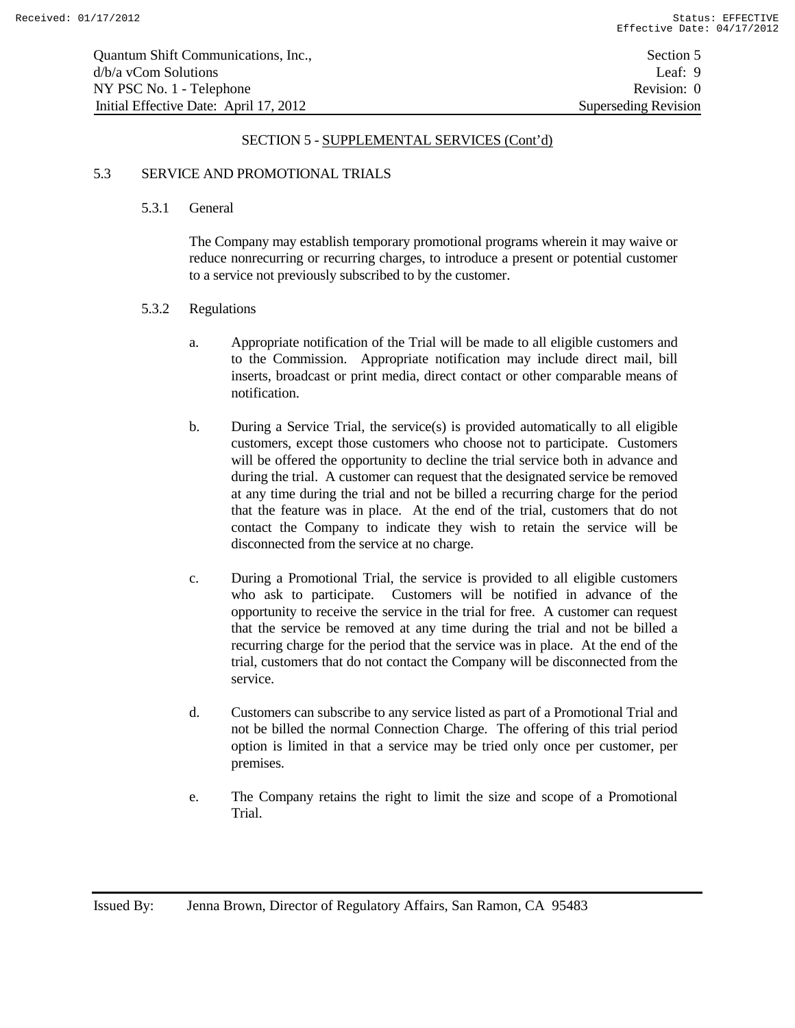## 5.3 SERVICE AND PROMOTIONAL TRIALS

#### 5.3.1 General

The Company may establish temporary promotional programs wherein it may waive or reduce nonrecurring or recurring charges, to introduce a present or potential customer to a service not previously subscribed to by the customer.

#### 5.3.2 Regulations

- a. Appropriate notification of the Trial will be made to all eligible customers and to the Commission. Appropriate notification may include direct mail, bill inserts, broadcast or print media, direct contact or other comparable means of notification.
- b. During a Service Trial, the service(s) is provided automatically to all eligible customers, except those customers who choose not to participate. Customers will be offered the opportunity to decline the trial service both in advance and during the trial. A customer can request that the designated service be removed at any time during the trial and not be billed a recurring charge for the period that the feature was in place. At the end of the trial, customers that do not contact the Company to indicate they wish to retain the service will be disconnected from the service at no charge.
- c. During a Promotional Trial, the service is provided to all eligible customers who ask to participate. Customers will be notified in advance of the opportunity to receive the service in the trial for free. A customer can request that the service be removed at any time during the trial and not be billed a recurring charge for the period that the service was in place. At the end of the trial, customers that do not contact the Company will be disconnected from the service.
- d. Customers can subscribe to any service listed as part of a Promotional Trial and not be billed the normal Connection Charge. The offering of this trial period option is limited in that a service may be tried only once per customer, per premises.
- e. The Company retains the right to limit the size and scope of a Promotional Trial.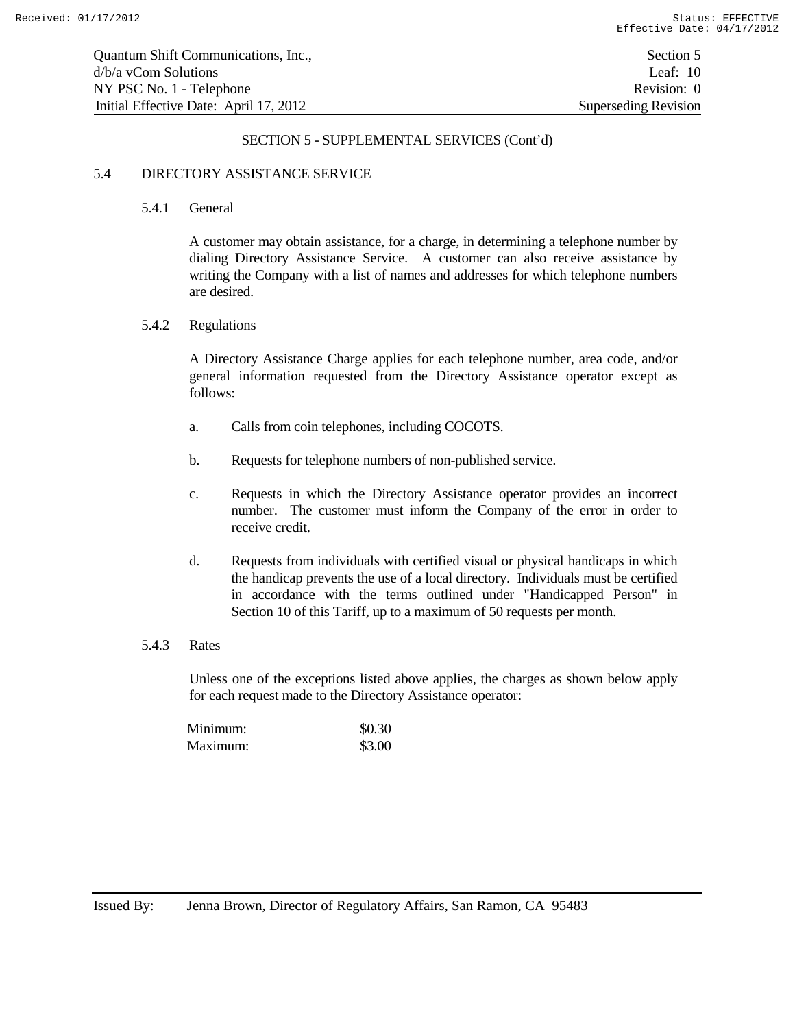## 5.4 DIRECTORY ASSISTANCE SERVICE

#### 5.4.1 General

A customer may obtain assistance, for a charge, in determining a telephone number by dialing Directory Assistance Service. A customer can also receive assistance by writing the Company with a list of names and addresses for which telephone numbers are desired.

#### 5.4.2 Regulations

A Directory Assistance Charge applies for each telephone number, area code, and/or general information requested from the Directory Assistance operator except as follows:

- a. Calls from coin telephones, including COCOTS.
- b. Requests for telephone numbers of non-published service.
- c. Requests in which the Directory Assistance operator provides an incorrect number. The customer must inform the Company of the error in order to receive credit.
- d. Requests from individuals with certified visual or physical handicaps in which the handicap prevents the use of a local directory. Individuals must be certified in accordance with the terms outlined under "Handicapped Person" in Section 10 of this Tariff, up to a maximum of 50 requests per month.

#### 5.4.3 Rates

Unless one of the exceptions listed above applies, the charges as shown below apply for each request made to the Directory Assistance operator:

| Minimum: | \$0.30 |
|----------|--------|
| Maximum: | \$3.00 |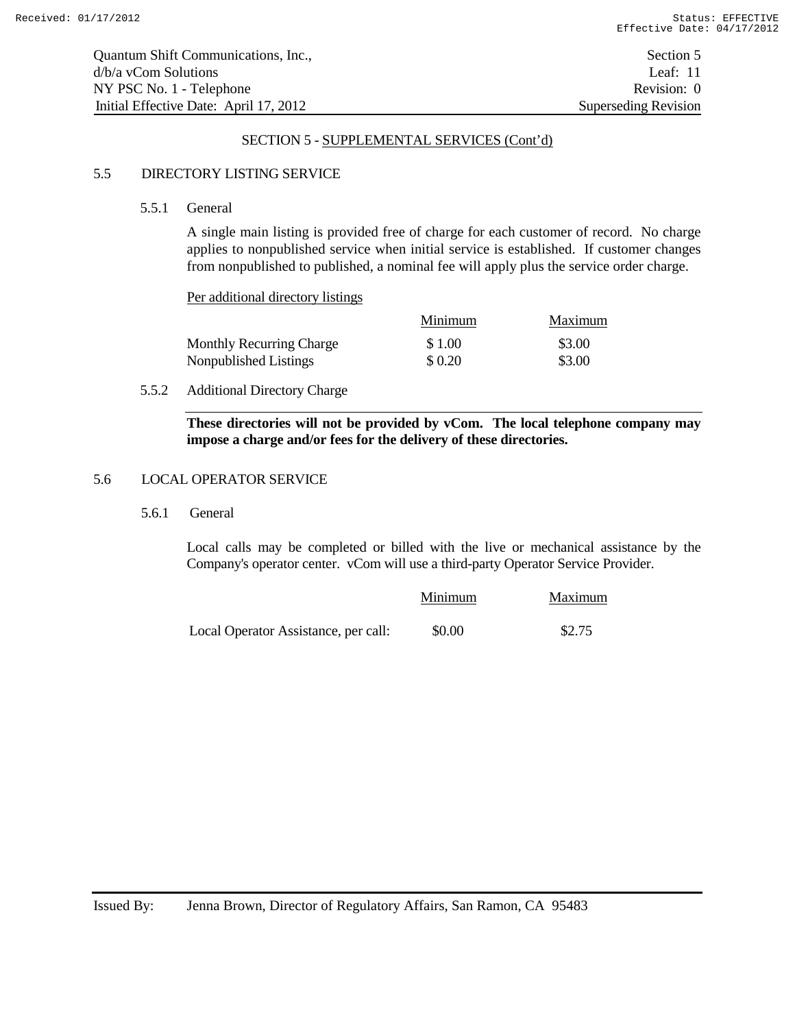| Quantum Shift Communications, Inc.,    | Section 5            |
|----------------------------------------|----------------------|
| d/b/a yCom Solutions                   | Leaf: $11$           |
| NY PSC No. 1 - Telephone               | Revision: 0          |
| Initial Effective Date: April 17, 2012 | Superseding Revision |

## 5.5 DIRECTORY LISTING SERVICE

5.5.1 General

A single main listing is provided free of charge for each customer of record. No charge applies to nonpublished service when initial service is established. If customer changes from nonpublished to published, a nominal fee will apply plus the service order charge.

Per additional directory listings

|                                 | Minimum | Maximum |
|---------------------------------|---------|---------|
| <b>Monthly Recurring Charge</b> | \$1.00  | \$3.00  |
| Nonpublished Listings           | \$0.20  | \$3.00  |

## 5.5.2 Additional Directory Charge

**These directories will not be provided by vCom. The local telephone company may impose a charge and/or fees for the delivery of these directories.**

#### 5.6 LOCAL OPERATOR SERVICE

5.6.1 General

Local calls may be completed or billed with the live or mechanical assistance by the Company's operator center. vCom will use a third-party Operator Service Provider.

|                                      | Minimum | Maximum |
|--------------------------------------|---------|---------|
| Local Operator Assistance, per call: | \$0.00  | \$2.75  |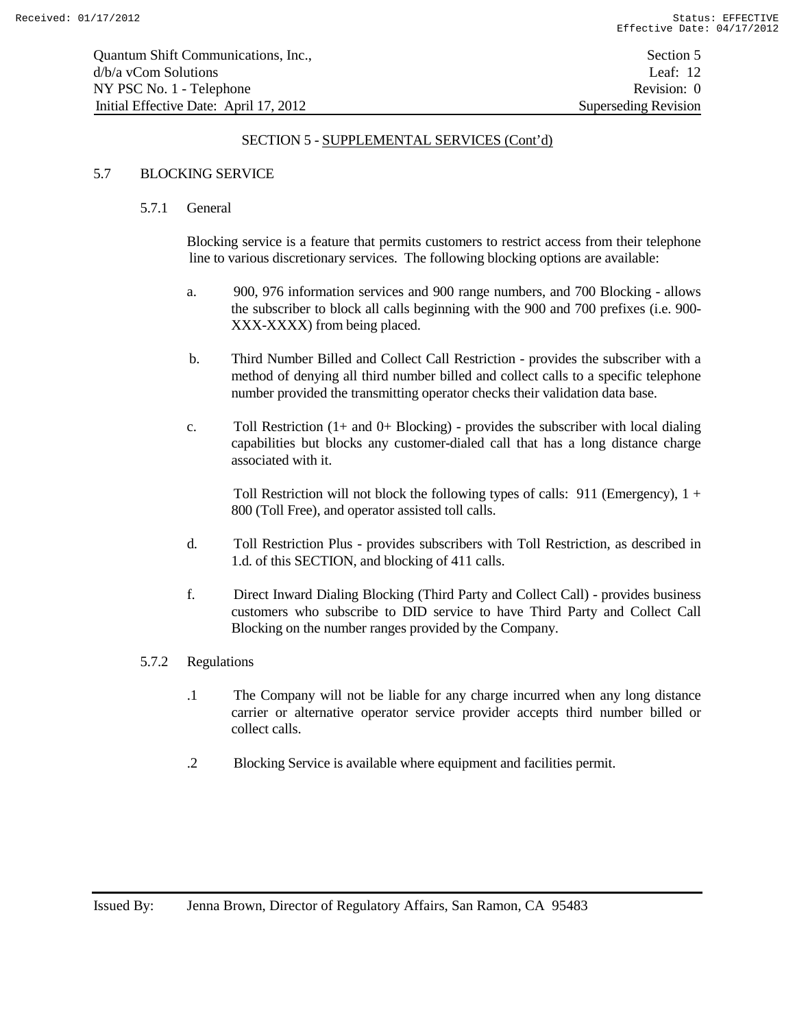## 5.7 BLOCKING SERVICE

#### 5.7.1 General

Blocking service is a feature that permits customers to restrict access from their telephone line to various discretionary services. The following blocking options are available:

- a. 900, 976 information services and 900 range numbers, and 700 Blocking allows the subscriber to block all calls beginning with the 900 and 700 prefixes (i.e. 900- XXX-XXXX) from being placed.
- b. Third Number Billed and Collect Call Restriction provides the subscriber with a method of denying all third number billed and collect calls to a specific telephone number provided the transmitting operator checks their validation data base.
- c. Toll Restriction  $(1+$  and  $0+$  Blocking) provides the subscriber with local dialing capabilities but blocks any customer-dialed call that has a long distance charge associated with it.

Toll Restriction will not block the following types of calls:  $911$  (Emergency),  $1 +$ 800 (Toll Free), and operator assisted toll calls.

- d. Toll Restriction Plus provides subscribers with Toll Restriction, as described in 1.d. of this SECTION, and blocking of 411 calls.
- f. Direct Inward Dialing Blocking (Third Party and Collect Call) provides business customers who subscribe to DID service to have Third Party and Collect Call Blocking on the number ranges provided by the Company.

#### 5.7.2 Regulations

- .1 The Company will not be liable for any charge incurred when any long distance carrier or alternative operator service provider accepts third number billed or collect calls.
- .2 Blocking Service is available where equipment and facilities permit.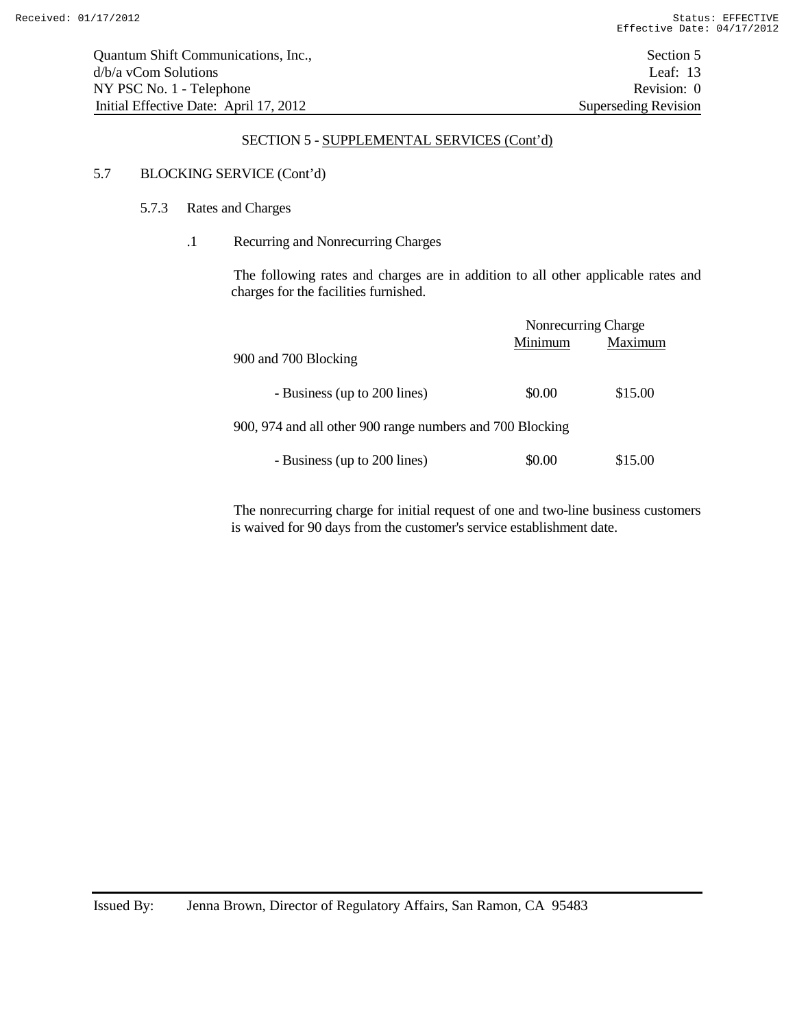## 5.7 BLOCKING SERVICE (Cont'd)

## 5.7.3 Rates and Charges

## .1 Recurring and Nonrecurring Charges

The following rates and charges are in addition to all other applicable rates and charges for the facilities furnished.

|                                                           | Nonrecurring Charge |         |
|-----------------------------------------------------------|---------------------|---------|
|                                                           | Minimum             | Maximum |
| 900 and 700 Blocking                                      |                     |         |
| - Business (up to 200 lines)                              | \$0.00              | \$15.00 |
| 900, 974 and all other 900 range numbers and 700 Blocking |                     |         |
| - Business (up to 200 lines)                              | \$0.00              | \$15.00 |

The nonrecurring charge for initial request of one and two-line business customers is waived for 90 days from the customer's service establishment date.